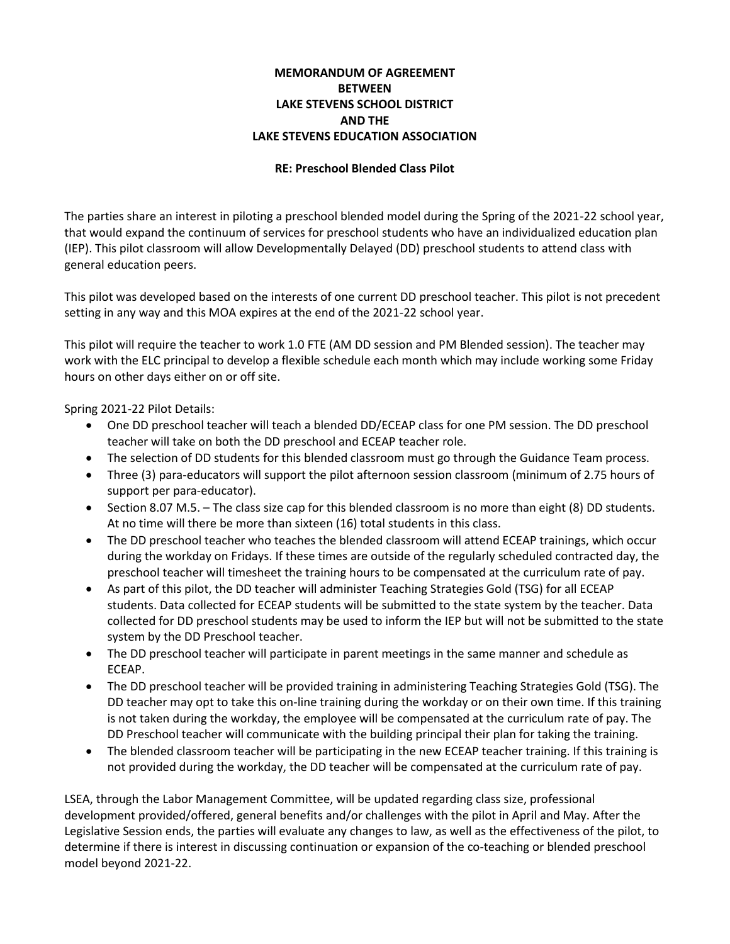## **MEMORANDUM OF AGREEMENT BETWEEN LAKE STEVENS SCHOOL DISTRICT AND THE LAKE STEVENS EDUCATION ASSOCIATION**

## **RE: Preschool Blended Class Pilot**

The parties share an interest in piloting a preschool blended model during the Spring of the 2021-22 school year, that would expand the continuum of services for preschool students who have an individualized education plan (IEP). This pilot classroom will allow Developmentally Delayed (DD) preschool students to attend class with general education peers.

This pilot was developed based on the interests of one current DD preschool teacher. This pilot is not precedent setting in any way and this MOA expires at the end of the 2021-22 school year.

This pilot will require the teacher to work 1.0 FTE (AM DD session and PM Blended session). The teacher may work with the ELC principal to develop a flexible schedule each month which may include working some Friday hours on other days either on or off site.

Spring 2021-22 Pilot Details:

- One DD preschool teacher will teach a blended DD/ECEAP class for one PM session. The DD preschool teacher will take on both the DD preschool and ECEAP teacher role.
- The selection of DD students for this blended classroom must go through the Guidance Team process.
- Three (3) para-educators will support the pilot afternoon session classroom (minimum of 2.75 hours of support per para-educator).
- Section 8.07 M.5. The class size cap for this blended classroom is no more than eight (8) DD students. At no time will there be more than sixteen (16) total students in this class.
- The DD preschool teacher who teaches the blended classroom will attend ECEAP trainings, which occur during the workday on Fridays. If these times are outside of the regularly scheduled contracted day, the preschool teacher will timesheet the training hours to be compensated at the curriculum rate of pay.
- As part of this pilot, the DD teacher will administer Teaching Strategies Gold (TSG) for all ECEAP students. Data collected for ECEAP students will be submitted to the state system by the teacher. Data collected for DD preschool students may be used to inform the IEP but will not be submitted to the state system by the DD Preschool teacher.
- The DD preschool teacher will participate in parent meetings in the same manner and schedule as ECEAP.
- The DD preschool teacher will be provided training in administering Teaching Strategies Gold (TSG). The DD teacher may opt to take this on-line training during the workday or on their own time. If this training is not taken during the workday, the employee will be compensated at the curriculum rate of pay. The DD Preschool teacher will communicate with the building principal their plan for taking the training.
- The blended classroom teacher will be participating in the new ECEAP teacher training. If this training is not provided during the workday, the DD teacher will be compensated at the curriculum rate of pay.

LSEA, through the Labor Management Committee, will be updated regarding class size, professional development provided/offered, general benefits and/or challenges with the pilot in April and May. After the Legislative Session ends, the parties will evaluate any changes to law, as well as the effectiveness of the pilot, to determine if there is interest in discussing continuation or expansion of the co-teaching or blended preschool model beyond 2021-22.